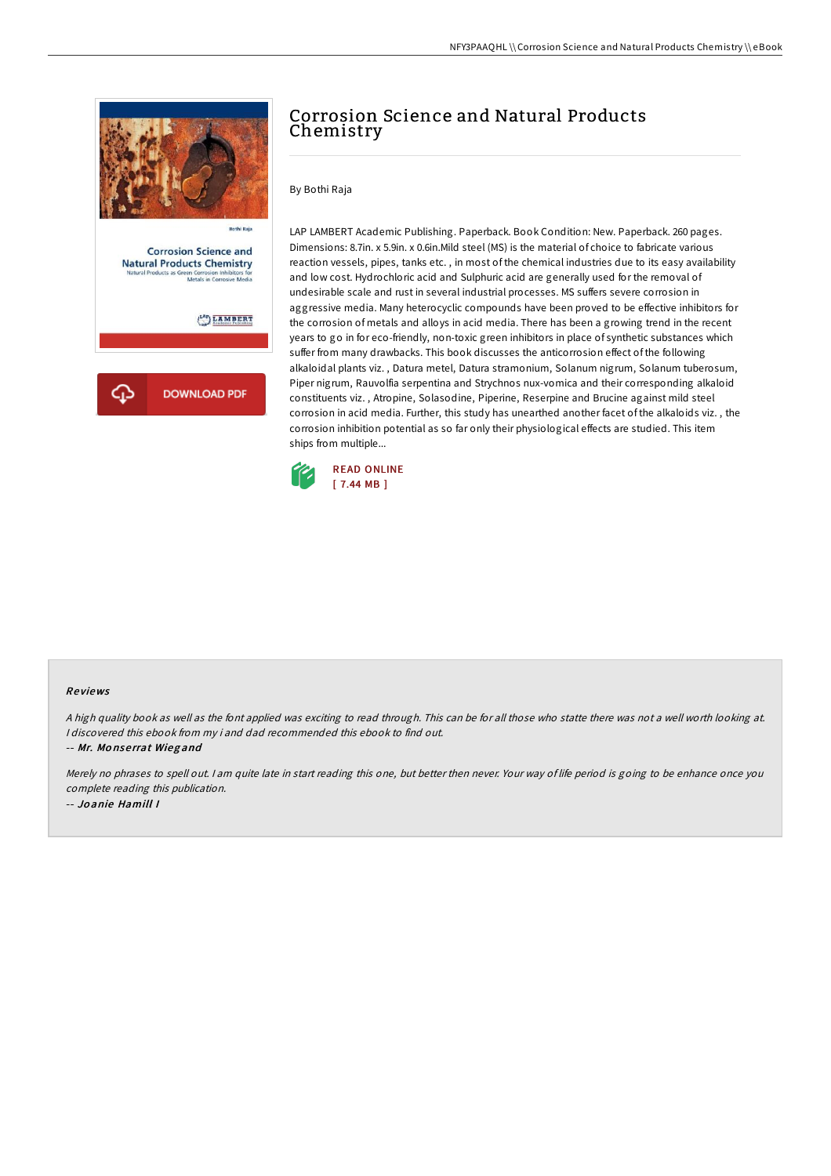

# Corrosion Science and Natural Products Chemistry

By Bothi Raja

LAP LAMBERT Academic Publishing. Paperback. Book Condition: New. Paperback. 260 pages. Dimensions: 8.7in. x 5.9in. x 0.6in.Mild steel (MS) is the material of choice to fabricate various reaction vessels, pipes, tanks etc. , in most of the chemical industries due to its easy availability and low cost. Hydrochloric acid and Sulphuric acid are generally used for the removal of undesirable scale and rust in several industrial processes. MS suffers severe corrosion in aggressive media. Many heterocyclic compounds have been proved to be effective inhibitors for the corrosion of metals and alloys in acid media. There has been a growing trend in the recent years to go in for eco-friendly, non-toxic green inhibitors in place of synthetic substances which suffer from many drawbacks. This book discusses the anticorrosion effect of the following alkaloidal plants viz. , Datura metel, Datura stramonium, Solanum nigrum, Solanum tuberosum, Piper nigrum, Rauvolfia serpentina and Strychnos nux-vomica and their corresponding alkaloid constituents viz. , Atropine, Solasodine, Piperine, Reserpine and Brucine against mild steel corrosion in acid media. Further, this study has unearthed another facet of the alkaloids viz. , the corrosion inhibition potential as so far only their physiological effects are studied. This item ships from multiple...



#### Re views

<sup>A</sup> high quality book as well as the font applied was exciting to read through. This can be for all those who statte there was not <sup>a</sup> well worth looking at. I discovered this ebook from my i and dad recommended this ebook to find out.

-- Mr. Mo nse rrat Wieg and

Merely no phrases to spell out. <sup>I</sup> am quite late in start reading this one, but better then never. Your way of life period is going to be enhance once you complete reading this publication. -- Jo anie Hamill I